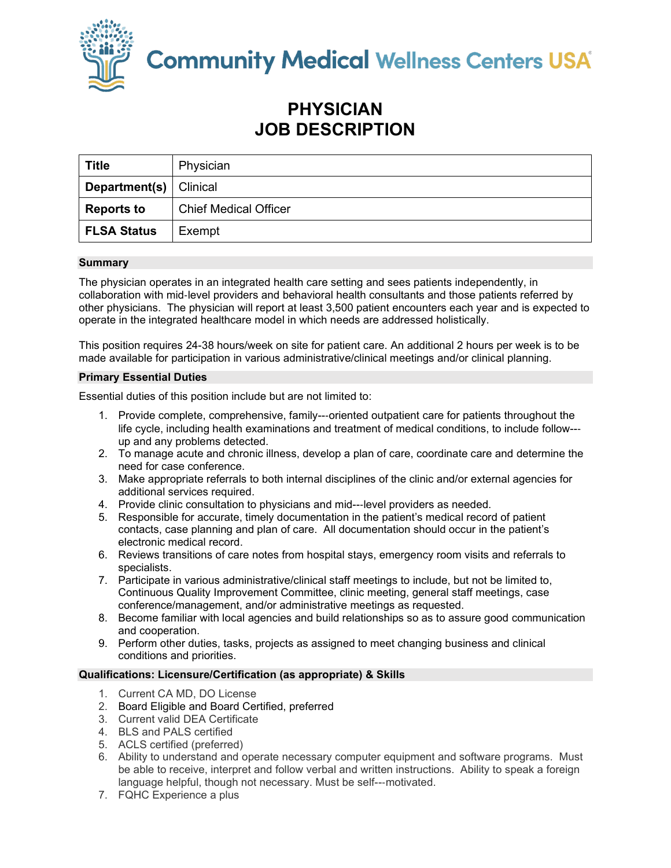

**Community Medical Wellness Centers USA** 

# **PHYSICIAN JOB DESCRIPTION**

| <b>Title</b>                    | Physician                    |
|---------------------------------|------------------------------|
| <b>Department(s)</b>   Clinical |                              |
| <b>Reports to</b>               | <b>Chief Medical Officer</b> |
| <b>FLSA Status</b>              | Exempt                       |

## **Summary**

The physician operates in an integrated health care setting and sees patients independently, in collaboration with mid-level providers and behavioral health consultants and those patients referred by other physicians. The physician will report at least 3,500 patient encounters each year and is expected to operate in the integrated healthcare model in which needs are addressed holistically.

This position requires 24-38 hours/week on site for patient care. An additional 2 hours per week is to be made available for participation in various administrative/clinical meetings and/or clinical planning.

## **Primary Essential Duties**

Essential duties of this position include but are not limited to:

- 1. Provide complete, comprehensive, family--‐oriented outpatient care for patients throughout the life cycle, including health examinations and treatment of medical conditions, to include follow--‐ up and any problems detected.
- 2. To manage acute and chronic illness, develop a plan of care, coordinate care and determine the need for case conference.
- 3. Make appropriate referrals to both internal disciplines of the clinic and/or external agencies for additional services required.
- 4. Provide clinic consultation to physicians and mid---level providers as needed.
- 5. Responsible for accurate, timely documentation in the patient's medical record of patient contacts, case planning and plan of care. All documentation should occur in the patient's electronic medical record.
- 6. Reviews transitions of care notes from hospital stays, emergency room visits and referrals to specialists.
- 7. Participate in various administrative/clinical staff meetings to include, but not be limited to, Continuous Quality Improvement Committee, clinic meeting, general staff meetings, case conference/management, and/or administrative meetings as requested.
- 8. Become familiar with local agencies and build relationships so as to assure good communication and cooperation.
- 9. Perform other duties, tasks, projects as assigned to meet changing business and clinical conditions and priorities.

## **Qualifications: Licensure/Certification (as appropriate) & Skills**

- 1. Current CA MD, DO License
- 2. Board Eligible and Board Certified, preferred
- 3. Current valid DEA Certificate
- 4. BLS and PALS certified
- 5. ACLS certified (preferred)
- 6. Ability to understand and operate necessary computer equipment and software programs. Must be able to receive, interpret and follow verbal and written instructions. Ability to speak a foreign language helpful, though not necessary. Must be self--‐motivated.
- 7. FQHC Experience a plus